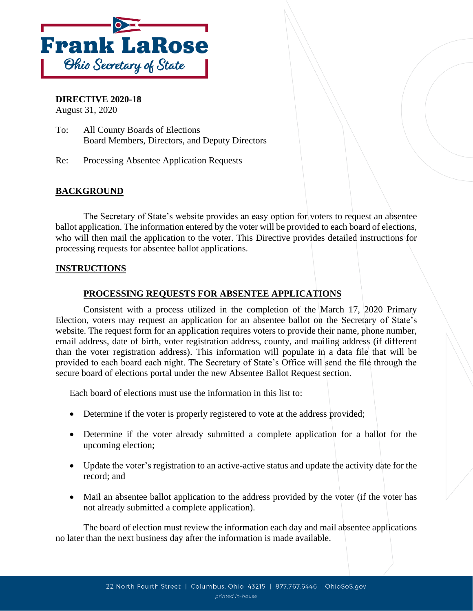

### **DIRECTIVE 2020-18**

August 31, 2020

- To: All County Boards of Elections Board Members, Directors, and Deputy Directors
- Re: Processing Absentee Application Requests

# **BACKGROUND**

The Secretary of State's website provides an easy option for voters to request an absentee ballot application. The information entered by the voter will be provided to each board of elections, who will then mail the application to the voter. This Directive provides detailed instructions for processing requests for absentee ballot applications.

#### **INSTRUCTIONS**

## **PROCESSING REQUESTS FOR ABSENTEE APPLICATIONS**

Consistent with a process utilized in the completion of the March 17, 2020 Primary Election, voters may request an application for an absentee ballot on the Secretary of State's website. The request form for an application requires voters to provide their name, phone number, email address, date of birth, voter registration address, county, and mailing address (if different than the voter registration address). This information will populate in a data file that will be provided to each board each night. The Secretary of State's Office will send the file through the secure board of elections portal under the new Absentee Ballot Request section.

Each board of elections must use the information in this list to:

- Determine if the voter is properly registered to vote at the address provided;
- Determine if the voter already submitted a complete application for a ballot for the upcoming election;
- Update the voter's registration to an active-active status and update the activity date for the record; and
- Mail an absentee ballot application to the address provided by the voter (if the voter has not already submitted a complete application).

The board of election must review the information each day and mail absentee applications no later than the next business day after the information is made available.